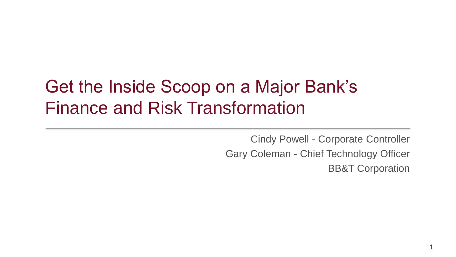# Get the Inside Scoop on a Major Bank's Finance and Risk Transformation

Cindy Powell - Corporate Controller Gary Coleman - Chief Technology Officer BB&T Corporation

1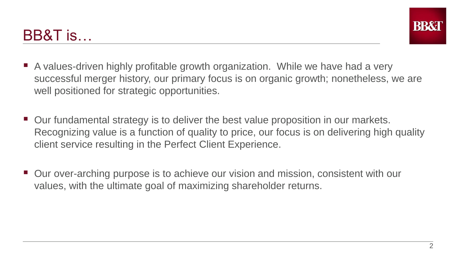## BB&T is…



- A values-driven highly profitable growth organization. While we have had a very successful merger history, our primary focus is on organic growth; nonetheless, we are well positioned for strategic opportunities.
- Our fundamental strategy is to deliver the best value proposition in our markets. Recognizing value is a function of quality to price, our focus is on delivering high quality client service resulting in the Perfect Client Experience.
- Our over-arching purpose is to achieve our vision and mission, consistent with our values, with the ultimate goal of maximizing shareholder returns.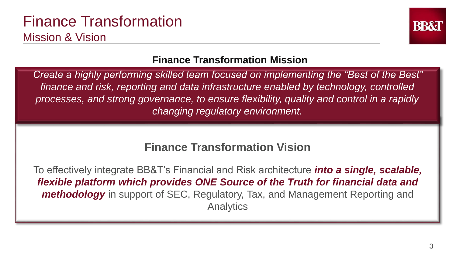#### Finance Transformation Mission & Vision



#### **Finance Transformation Mission**

*Create a highly performing skilled team focused on implementing the "Best of the Best" finance and risk, reporting and data infrastructure enabled by technology, controlled processes, and strong governance, to ensure flexibility, quality and control in a rapidly changing regulatory environment.* 

#### **Finance Transformation Vision**

To effectively integrate BB&T's Financial and Risk architecture *into a single, scalable, flexible platform which provides ONE Source of the Truth for financial data and methodology* in support of SEC, Regulatory, Tax, and Management Reporting and **Analytics**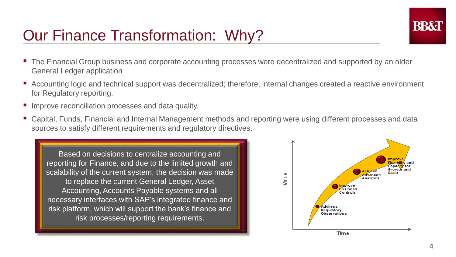## Our Finance Transformation: Why?

- The Financial Group business and corporate accounting processes were decentralized and supported by an older General Ledger application
- Accounting logic and technical support was decentralized; therefore, internal changes created a reactive environment for Regulatory reporting.
- Improve reconciliation processes and data quality.
- Capital, Funds, Financial and Internal Management methods and reporting were using different processes and data sources to satisfy different requirements and regulatory directives.





**RRX**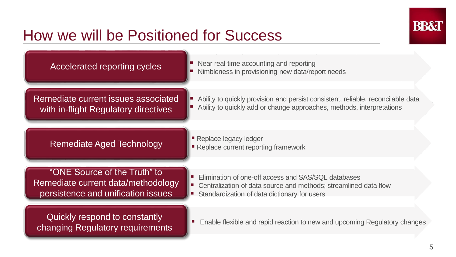## How we will be Positioned for Success



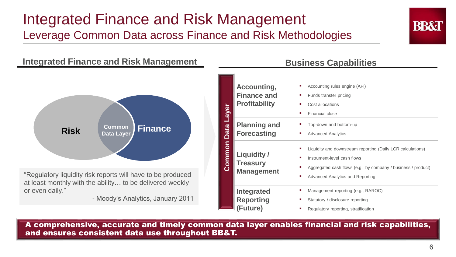#### Integrated Finance and Risk Management Leverage Common Data across Finance and Risk Methodologies



#### **Integrated Finance and Risk Management**



"Regulatory liquidity risk reports will have to be produced at least monthly with the ability… to be delivered weekly or even daily."

- Moody's Analytics, January 2011

| Common Data Layer | Accounting,<br><b>Finance and</b><br><b>Profitability</b> | Accounting rules engine (AFI)<br>Funds transfer pricing<br>ш<br>Cost allocations<br><b>COL</b><br>Financial close<br>a.                                                                                       |
|-------------------|-----------------------------------------------------------|---------------------------------------------------------------------------------------------------------------------------------------------------------------------------------------------------------------|
|                   | <b>Planning and</b><br><b>Forecasting</b>                 | Top-down and bottom-up<br><b>Advanced Analytics</b><br>m.                                                                                                                                                     |
|                   | Liquidity /<br><b>Treasury</b><br><b>Management</b>       | Liquidity and downstream reporting (Daily LCR calculations)<br>ш<br>Instrument-level cash flows<br>ш<br>Aggregated cash flows (e.g. by company / business / product)<br>Advanced Analytics and Reporting<br>ш |
|                   | Integrated<br><b>Reporting</b><br>(Future)                | Management reporting (e.g., RAROC)<br>m.<br>Statutory / disclosure reporting<br>ш<br>Regulatory reporting, stratification<br>ш                                                                                |

A comprehensive, accurate and timely common data layer enables financial and risk capabilities, and ensures consistent data use throughout BB&T.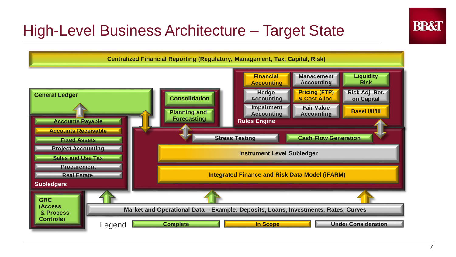

## High-Level Business Architecture – Target State

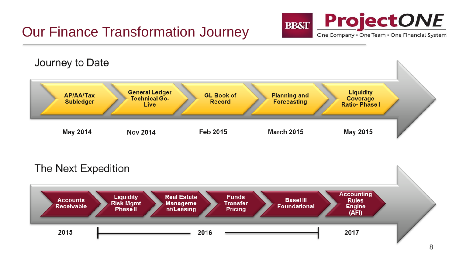#### Our Finance Transformation Journey





#### The Next Expedition

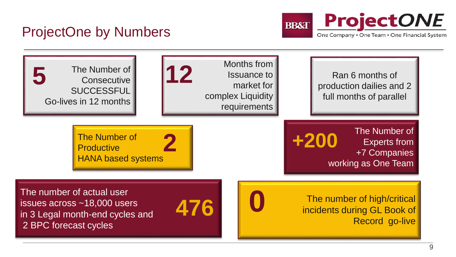#### ProjectOne by Numbers